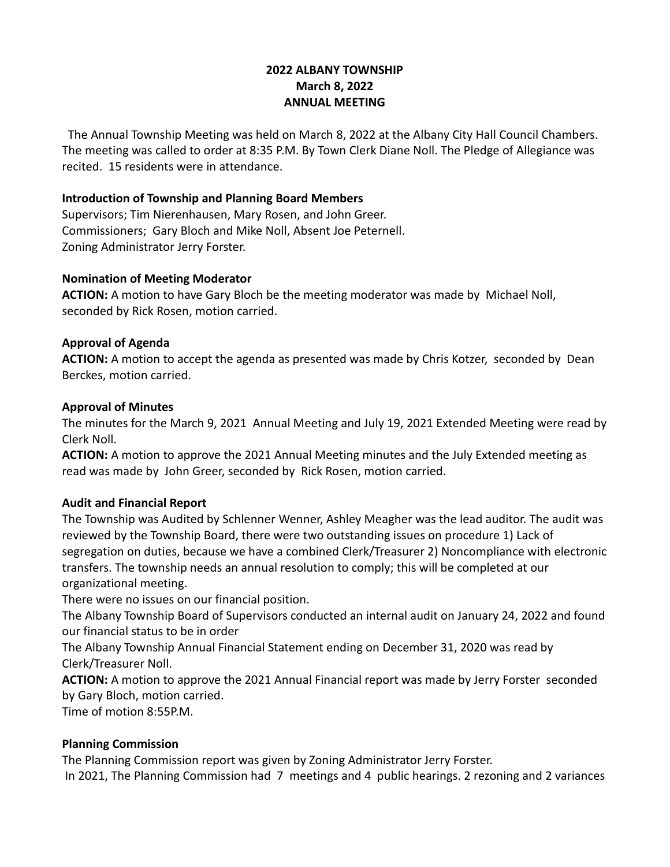# **2022 ALBANY TOWNSHIP March 8, 2022 ANNUAL MEETING**

The Annual Township Meeting was held on March 8, 2022 at the Albany City Hall Council Chambers. The meeting was called to order at 8:35 P.M. By Town Clerk Diane Noll. The Pledge of Allegiance was recited. 15 residents were in attendance.

#### **Introduction of Township and Planning Board Members**

Supervisors; Tim Nierenhausen, Mary Rosen, and John Greer. Commissioners; Gary Bloch and Mike Noll, Absent Joe Peternell. Zoning Administrator Jerry Forster.

#### **Nomination of Meeting Moderator**

**ACTION:** A motion to have Gary Bloch be the meeting moderator was made by Michael Noll, seconded by Rick Rosen, motion carried.

### **Approval of Agenda**

**ACTION:** A motion to accept the agenda as presented was made by Chris Kotzer, seconded by Dean Berckes, motion carried.

#### **Approval of Minutes**

The minutes for the March 9, 2021 Annual Meeting and July 19, 2021 Extended Meeting were read by Clerk Noll.

**ACTION:** A motion to approve the 2021 Annual Meeting minutes and the July Extended meeting as read was made by John Greer, seconded by Rick Rosen, motion carried.

## **Audit and Financial Report**

The Township was Audited by Schlenner Wenner, Ashley Meagher was the lead auditor. The audit was reviewed by the Township Board, there were two outstanding issues on procedure 1) Lack of segregation on duties, because we have a combined Clerk/Treasurer 2) Noncompliance with electronic transfers. The township needs an annual resolution to comply; this will be completed at our organizational meeting.

There were no issues on our financial position.

The Albany Township Board of Supervisors conducted an internal audit on January 24, 2022 and found our financial status to be in order

The Albany Township Annual Financial Statement ending on December 31, 2020 was read by Clerk/Treasurer Noll.

**ACTION:** A motion to approve the 2021 Annual Financial report was made by Jerry Forster seconded by Gary Bloch, motion carried.

Time of motion 8:55P.M.

## **Planning Commission**

The Planning Commission report was given by Zoning Administrator Jerry Forster. In 2021, The Planning Commission had 7 meetings and 4 public hearings. 2 rezoning and 2 variances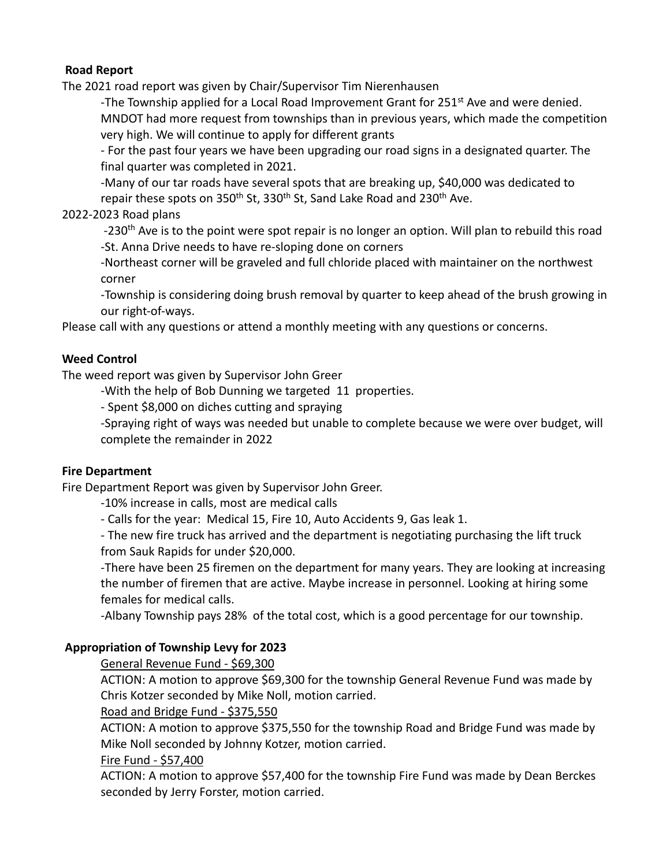## **Road Report**

The 2021 road report was given by Chair/Supervisor Tim Nierenhausen

-The Township applied for a Local Road Improvement Grant for  $251^{st}$  Ave and were denied. MNDOT had more request from townships than in previous years, which made the competition very high. We will continue to apply for different grants

- For the past four years we have been upgrading our road signs in a designated quarter. The final quarter was completed in 2021.

-Many of our tar roads have several spots that are breaking up, \$40,000 was dedicated to repair these spots on 350<sup>th</sup> St, 330<sup>th</sup> St, Sand Lake Road and 230<sup>th</sup> Ave.

#### 2022-2023 Road plans

-230<sup>th</sup> Ave is to the point were spot repair is no longer an option. Will plan to rebuild this road -St. Anna Drive needs to have re-sloping done on corners

-Northeast corner will be graveled and full chloride placed with maintainer on the northwest corner

-Township is considering doing brush removal by quarter to keep ahead of the brush growing in our right-of-ways.

Please call with any questions or attend a monthly meeting with any questions or concerns.

### **Weed Control**

The weed report was given by Supervisor John Greer

-With the help of Bob Dunning we targeted 11 properties.

- Spent \$8,000 on diches cutting and spraying

-Spraying right of ways was needed but unable to complete because we were over budget, will complete the remainder in 2022

#### **Fire Department**

Fire Department Report was given by Supervisor John Greer.

-10% increase in calls, most are medical calls

- Calls for the year: Medical 15, Fire 10, Auto Accidents 9, Gas leak 1.

- The new fire truck has arrived and the department is negotiating purchasing the lift truck from Sauk Rapids for under \$20,000.

-There have been 25 firemen on the department for many years. They are looking at increasing the number of firemen that are active. Maybe increase in personnel. Looking at hiring some females for medical calls.

-Albany Township pays 28% of the total cost, which is a good percentage for our township.

#### **Appropriation of Township Levy for 2023**

General Revenue Fund - \$69,300

ACTION: A motion to approve \$69,300 for the township General Revenue Fund was made by Chris Kotzer seconded by Mike Noll, motion carried.

Road and Bridge Fund - \$375,550

ACTION: A motion to approve \$375,550 for the township Road and Bridge Fund was made by Mike Noll seconded by Johnny Kotzer, motion carried.

#### Fire Fund - \$57,400

ACTION: A motion to approve \$57,400 for the township Fire Fund was made by Dean Berckes seconded by Jerry Forster, motion carried.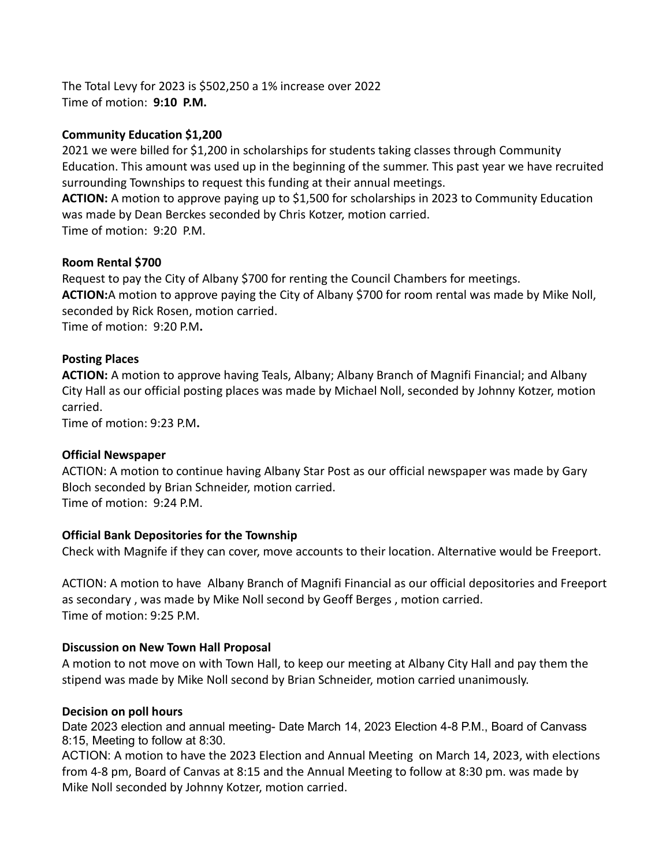The Total Levy for 2023 is \$502,250 a 1% increase over 2022 Time of motion: **9:10 P.M.**

### **Community Education \$1,200**

2021 we were billed for \$1,200 in scholarships for students taking classes through Community Education. This amount was used up in the beginning of the summer. This past year we have recruited surrounding Townships to request this funding at their annual meetings.

**ACTION:** A motion to approve paying up to \$1,500 for scholarships in 2023 to Community Education was made by Dean Berckes seconded by Chris Kotzer, motion carried. Time of motion:9:20 P.M.

**Room Rental \$700**

Request to pay the City of Albany \$700 for renting the Council Chambers for meetings. **ACTION:**A motion to approve paying the City of Albany \$700 for room rental was made by Mike Noll, seconded by Rick Rosen, motion carried. Time of motion: 9:20 P.M**.**

### **Posting Places**

**ACTION:** A motion to approve having Teals, Albany; Albany Branch of Magnifi Financial; and Albany City Hall as our official posting places was made by Michael Noll, seconded by Johnny Kotzer, motion carried.

Time of motion: 9:23 P.M**.**

#### **Official Newspaper**

ACTION: A motion to continue having Albany Star Post as our official newspaper was made by Gary Bloch seconded by Brian Schneider, motion carried. Time of motion:9:24 P.M.

#### **Official Bank Depositories for the Township**

Check with Magnife if they can cover, move accounts to their location. Alternative would be Freeport.

ACTION: A motion to have Albany Branch of Magnifi Financial as our official depositories and Freeport as secondary , was made by Mike Noll second by Geoff Berges , motion carried. Time of motion: 9:25 P.M.

## **Discussion on New Town Hall Proposal**

A motion to not move on with Town Hall, to keep our meeting at Albany City Hall and pay them the stipend was made by Mike Noll second by Brian Schneider, motion carried unanimously.

#### **Decision on poll hours**

Date 2023 election and annual meeting- Date March 14, 2023 Election 4-8 P.M., Board of Canvass 8:15, Meeting to follow at 8:30.

ACTION: A motion to have the 2023 Election and Annual Meeting on March 14, 2023, with elections from 4-8 pm, Board of Canvas at 8:15 and the Annual Meeting to follow at 8:30 pm. was made by Mike Noll seconded by Johnny Kotzer, motion carried.